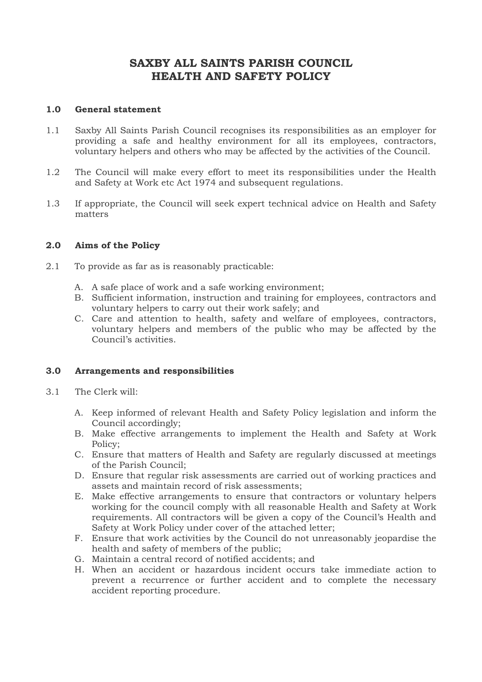# **SAXBY ALL SAINTS PARISH COUNCIL HEALTH AND SAFETY POLICY**

### **1.0 General statement**

- 1.1 Saxby All Saints Parish Council recognises its responsibilities as an employer for providing a safe and healthy environment for all its employees, contractors, voluntary helpers and others who may be affected by the activities of the Council.
- 1.2 The Council will make every effort to meet its responsibilities under the Health and Safety at Work etc Act 1974 and subsequent regulations.
- 1.3 If appropriate, the Council will seek expert technical advice on Health and Safety matters

#### **2.0 Aims of the Policy**

- 2.1 To provide as far as is reasonably practicable:
	- A. A safe place of work and a safe working environment;
	- B. Sufficient information, instruction and training for employees, contractors and voluntary helpers to carry out their work safely; and
	- C. Care and attention to health, safety and welfare of employees, contractors, voluntary helpers and members of the public who may be affected by the Council's activities.

## **3.0 Arrangements and responsibilities**

- 3.1 The Clerk will:
	- A. Keep informed of relevant Health and Safety Policy legislation and inform the Council accordingly;
	- B. Make effective arrangements to implement the Health and Safety at Work Policy;
	- C. Ensure that matters of Health and Safety are regularly discussed at meetings of the Parish Council;
	- D. Ensure that regular risk assessments are carried out of working practices and assets and maintain record of risk assessments;
	- E. Make effective arrangements to ensure that contractors or voluntary helpers working for the council comply with all reasonable Health and Safety at Work requirements. All contractors will be given a copy of the Council's Health and Safety at Work Policy under cover of the attached letter;
	- F. Ensure that work activities by the Council do not unreasonably jeopardise the health and safety of members of the public;
	- G. Maintain a central record of notified accidents; and
	- H. When an accident or hazardous incident occurs take immediate action to prevent a recurrence or further accident and to complete the necessary accident reporting procedure.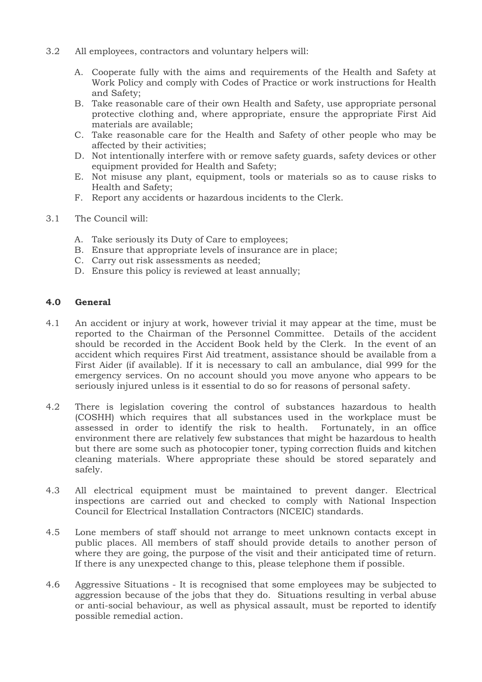- 3.2 All employees, contractors and voluntary helpers will:
	- A. Cooperate fully with the aims and requirements of the Health and Safety at Work Policy and comply with Codes of Practice or work instructions for Health and Safety;
	- B. Take reasonable care of their own Health and Safety, use appropriate personal protective clothing and, where appropriate, ensure the appropriate First Aid materials are available;
	- C. Take reasonable care for the Health and Safety of other people who may be affected by their activities;
	- D. Not intentionally interfere with or remove safety guards, safety devices or other equipment provided for Health and Safety;
	- E. Not misuse any plant, equipment, tools or materials so as to cause risks to Health and Safety;
	- F. Report any accidents or hazardous incidents to the Clerk.
- 3.1 The Council will:
	- A. Take seriously its Duty of Care to employees;
	- B. Ensure that appropriate levels of insurance are in place;
	- C. Carry out risk assessments as needed;
	- D. Ensure this policy is reviewed at least annually;

#### **4.0 General**

- 4.1 An accident or injury at work, however trivial it may appear at the time, must be reported to the Chairman of the Personnel Committee. Details of the accident should be recorded in the Accident Book held by the Clerk. In the event of an accident which requires First Aid treatment, assistance should be available from a First Aider (if available). If it is necessary to call an ambulance, dial 999 for the emergency services. On no account should you move anyone who appears to be seriously injured unless is it essential to do so for reasons of personal safety.
- 4.2 There is legislation covering the control of substances hazardous to health (COSHH) which requires that all substances used in the workplace must be assessed in order to identify the risk to health. Fortunately, in an office environment there are relatively few substances that might be hazardous to health but there are some such as photocopier toner, typing correction fluids and kitchen cleaning materials. Where appropriate these should be stored separately and safely.
- 4.3 All electrical equipment must be maintained to prevent danger. Electrical inspections are carried out and checked to comply with National Inspection Council for Electrical Installation Contractors (NICEIC) standards.
- 4.5 Lone members of staff should not arrange to meet unknown contacts except in public places. All members of staff should provide details to another person of where they are going, the purpose of the visit and their anticipated time of return. If there is any unexpected change to this, please telephone them if possible.
- 4.6 Aggressive Situations It is recognised that some employees may be subjected to aggression because of the jobs that they do. Situations resulting in verbal abuse or anti-social behaviour, as well as physical assault, must be reported to identify possible remedial action.